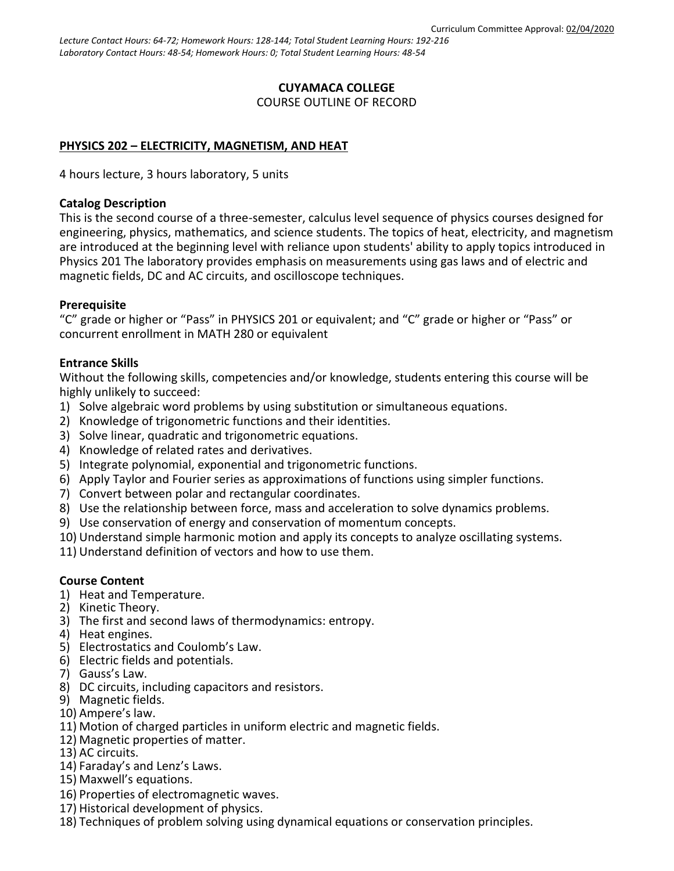*Lecture Contact Hours: 64-72; Homework Hours: 128-144; Total Student Learning Hours: 192-216 Laboratory Contact Hours: 48-54; Homework Hours: 0; Total Student Learning Hours: 48-54*

# **CUYAMACA COLLEGE**

COURSE OUTLINE OF RECORD

### **PHYSICS 202 – ELECTRICITY, MAGNETISM, AND HEAT**

4 hours lecture, 3 hours laboratory, 5 units

#### **Catalog Description**

This is the second course of a three-semester, calculus level sequence of physics courses designed for engineering, physics, mathematics, and science students. The topics of heat, electricity, and magnetism are introduced at the beginning level with reliance upon students' ability to apply topics introduced in Physics 201 The laboratory provides emphasis on measurements using gas laws and of electric and magnetic fields, DC and AC circuits, and oscilloscope techniques.

#### **Prerequisite**

"C" grade or higher or "Pass" in PHYSICS 201 or equivalent; and "C" grade or higher or "Pass" or concurrent enrollment in MATH 280 or equivalent

### **Entrance Skills**

Without the following skills, competencies and/or knowledge, students entering this course will be highly unlikely to succeed:

- 1) Solve algebraic word problems by using substitution or simultaneous equations.
- 2) Knowledge of trigonometric functions and their identities.
- 3) Solve linear, quadratic and trigonometric equations.
- 4) Knowledge of related rates and derivatives.
- 5) Integrate polynomial, exponential and trigonometric functions.
- 6) Apply Taylor and Fourier series as approximations of functions using simpler functions.
- 7) Convert between polar and rectangular coordinates.
- 8) Use the relationship between force, mass and acceleration to solve dynamics problems.
- 9) Use conservation of energy and conservation of momentum concepts.
- 10) Understand simple harmonic motion and apply its concepts to analyze oscillating systems.
- 11) Understand definition of vectors and how to use them.

#### **Course Content**

- 1) Heat and Temperature.
- 2) Kinetic Theory.
- 3) The first and second laws of thermodynamics: entropy.
- 4) Heat engines.
- 5) Electrostatics and Coulomb's Law.
- 6) Electric fields and potentials.
- 7) Gauss's Law.
- 8) DC circuits, including capacitors and resistors.
- 9) Magnetic fields.
- 10) Ampere's law.
- 11) Motion of charged particles in uniform electric and magnetic fields.
- 12) Magnetic properties of matter.
- 13) AC circuits.
- 14) Faraday's and Lenz's Laws.
- 15) Maxwell's equations.
- 16) Properties of electromagnetic waves.
- 17) Historical development of physics.
- 18) Techniques of problem solving using dynamical equations or conservation principles.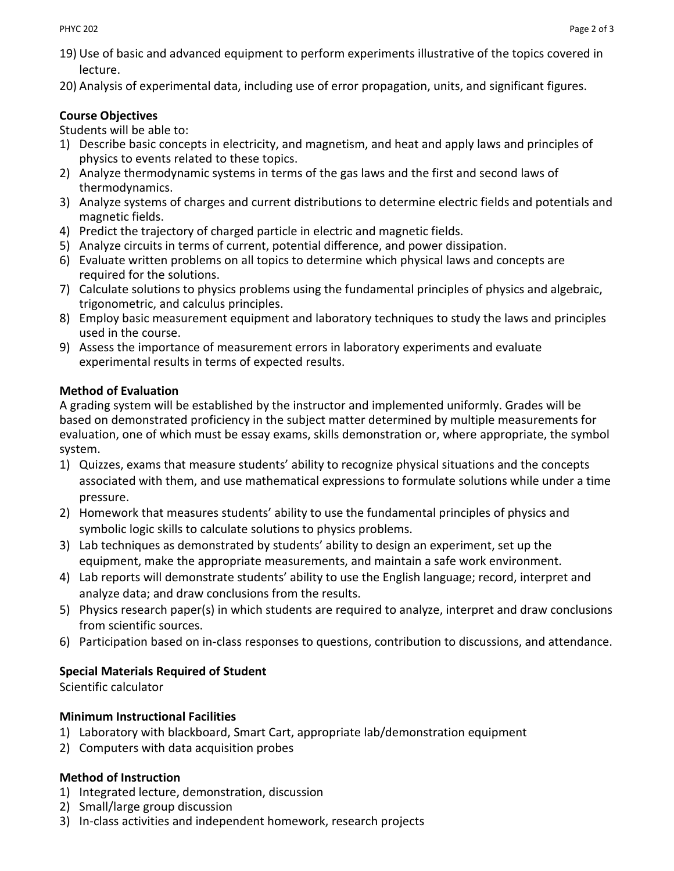- 19) Use of basic and advanced equipment to perform experiments illustrative of the topics covered in lecture.
- 20) Analysis of experimental data, including use of error propagation, units, and significant figures.

# **Course Objectives**

Students will be able to:

- 1) Describe basic concepts in electricity, and magnetism, and heat and apply laws and principles of physics to events related to these topics.
- 2) Analyze thermodynamic systems in terms of the gas laws and the first and second laws of thermodynamics.
- 3) Analyze systems of charges and current distributions to determine electric fields and potentials and magnetic fields.
- 4) Predict the trajectory of charged particle in electric and magnetic fields.
- 5) Analyze circuits in terms of current, potential difference, and power dissipation.
- 6) Evaluate written problems on all topics to determine which physical laws and concepts are required for the solutions.
- 7) Calculate solutions to physics problems using the fundamental principles of physics and algebraic, trigonometric, and calculus principles.
- 8) Employ basic measurement equipment and laboratory techniques to study the laws and principles used in the course.
- 9) Assess the importance of measurement errors in laboratory experiments and evaluate experimental results in terms of expected results.

# **Method of Evaluation**

A grading system will be established by the instructor and implemented uniformly. Grades will be based on demonstrated proficiency in the subject matter determined by multiple measurements for evaluation, one of which must be essay exams, skills demonstration or, where appropriate, the symbol system.

- 1) Quizzes, exams that measure students' ability to recognize physical situations and the concepts associated with them, and use mathematical expressions to formulate solutions while under a time pressure.
- 2) Homework that measures students' ability to use the fundamental principles of physics and symbolic logic skills to calculate solutions to physics problems.
- 3) Lab techniques as demonstrated by students' ability to design an experiment, set up the equipment, make the appropriate measurements, and maintain a safe work environment.
- 4) Lab reports will demonstrate students' ability to use the English language; record, interpret and analyze data; and draw conclusions from the results.
- 5) Physics research paper(s) in which students are required to analyze, interpret and draw conclusions from scientific sources.
- 6) Participation based on in-class responses to questions, contribution to discussions, and attendance.

# **Special Materials Required of Student**

Scientific calculator

## **Minimum Instructional Facilities**

- 1) Laboratory with blackboard, Smart Cart, appropriate lab/demonstration equipment
- 2) Computers with data acquisition probes

# **Method of Instruction**

- 1) Integrated lecture, demonstration, discussion
- 2) Small/large group discussion
- 3) In-class activities and independent homework, research projects